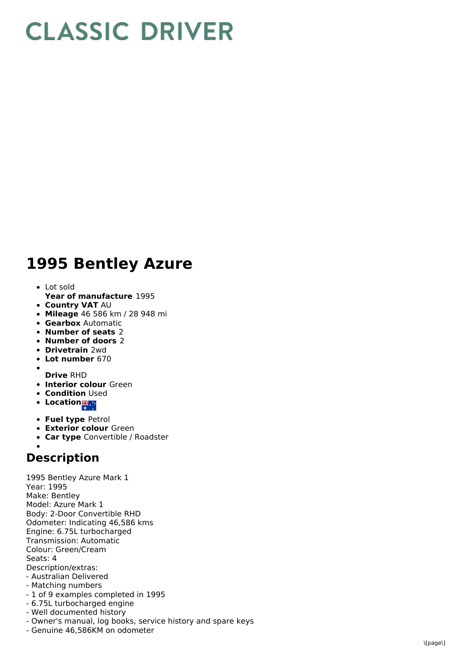## **CLASSIC DRIVER**

## 1995 Bentley Azure

- L o t s old
- **Year of manufacture** 1995
- **Country VAT** AU
- **Mileage** 46 586 km / 28 948 mi
- **Gearbox** Automatic
- **Number of seats** 2
- **Number of doors** 2
- **Drivetrain** 2wd
- **Lot number** 670
- **Drive** RHD
- **Interior colour** Green
- **Condition Used**
- Location<sub>is</sub>
- **Fuel type** Petrol
- **Exterior colour** Green
- **Car type** Convertible / Roadster

## **Description**

1995 Bentley Azure Mark 1 Year: 1995 Make: Bentley Model: Azure Mark 1 Body: 2-Door Convertible RHD Odometer: Indicating 46,586 kms Engine: 6.75L turbocharged Transmission: Automatic Colour: Green/Cream S e a t s: 4 Description/extras: - Australian Deliver e d - Matching numbers - 1 of 9 examples completed in 1995

- 6.75L turbocharged engine
- Well documented history
- Owner's manual, log books, service history and spare keys
- Genuine 46,586KM on odometer